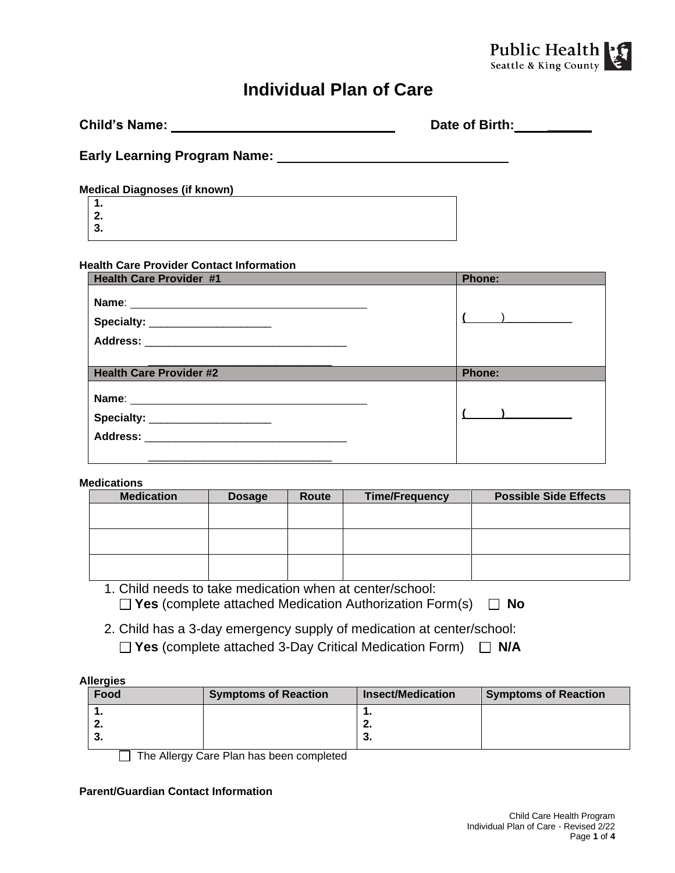

# **Individual Plan of Care**

| <b>Child's Name:</b>                | Date of Birth: |
|-------------------------------------|----------------|
| <b>Early Learning Program Name:</b> |                |
| <b>Medical Diagnoses (if known)</b> |                |
| 1.                                  |                |
| $\frac{2}{3}$ .                     |                |
|                                     |                |

#### **Health Care Provider Contact Information**

| <b>Health Care Provider #1</b> | Phone:                   |
|--------------------------------|--------------------------|
|                                | $\overline{\phantom{a}}$ |
| <b>Health Care Provider #2</b> | <b>Phone:</b>            |
|                                |                          |

#### **Medications**

| <b>Medication</b> | <b>Dosage</b> | Route | <b>Time/Frequency</b> | <b>Possible Side Effects</b> |
|-------------------|---------------|-------|-----------------------|------------------------------|
|                   |               |       |                       |                              |
|                   |               |       |                       |                              |
|                   |               |       |                       |                              |
|                   |               |       |                       |                              |
|                   |               |       |                       |                              |
|                   |               |       |                       |                              |

### 1. Child needs to take medication when at center/school: **Yes** (complete attached Medication Authorization Form(s) **No**

2. Child has a 3-day emergency supply of medication at center/school: **Yes** (complete attached 3-Day Critical Medication Form) **N/A**

#### **Allergies**

| Food | <b>Symptoms of Reaction</b> | <b>Insect/Medication</b> | <b>Symptoms of Reaction</b> |
|------|-----------------------------|--------------------------|-----------------------------|
| . .  |                             |                          |                             |
| £.   |                             |                          |                             |
| v.   |                             | J.                       |                             |
|      |                             |                          |                             |

The Allergy Care Plan has been completed

#### **Parent/Guardian Contact Information**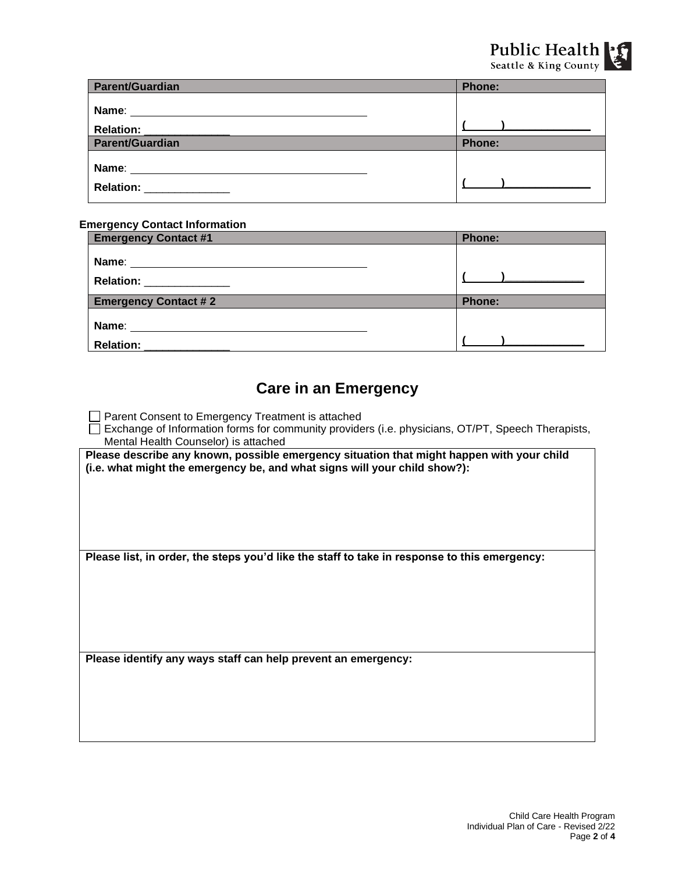| <b>Parent/Guardian</b>  | <b>Phone:</b>  |
|-------------------------|----------------|
|                         |                |
|                         |                |
| Parent/Guardian         | <b>Phone:</b>  |
| Relation: _____________ | $\blacksquare$ |

#### **Emergency Contact Information**

| <b>Emergency Contact #1</b> | <b>Phone:</b>                                                                                                                                                                                                                        |
|-----------------------------|--------------------------------------------------------------------------------------------------------------------------------------------------------------------------------------------------------------------------------------|
| Relation: _______________   |                                                                                                                                                                                                                                      |
| <b>Emergency Contact #2</b> | <b>Phone:</b>                                                                                                                                                                                                                        |
|                             |                                                                                                                                                                                                                                      |
| <b>Relation:</b>            | <u>and the community of the community of the community of the community of the community of the community of the community of the community of the community of the community of the community of the community of the community</u> |

### **Care in an Emergency**

□ Parent Consent to Emergency Treatment is attached

Exchange of Information forms for community providers (i.e. physicians, OT/PT, Speech Therapists, Mental Health Counselor) is attached

Please describe any known, possible emergency situation that might happen with your child **(i.e. what might the emergency be, and what signs will your child show?):**

**Please list, in order, the steps you'd like the staff to take in response to this emergency:**

**Please identify any ways staff can help prevent an emergency:**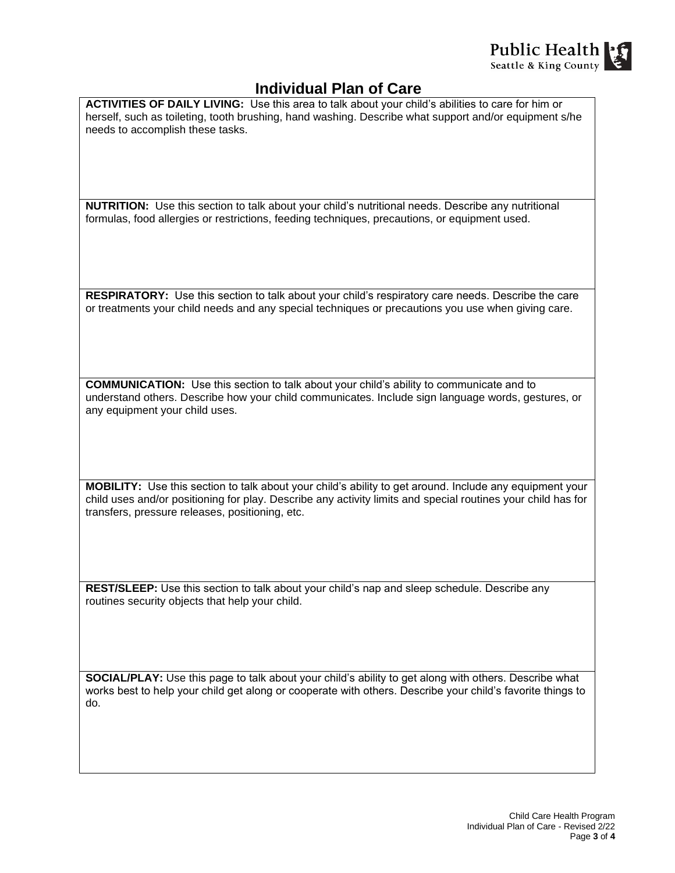

### **Individual Plan of Care**

**ACTIVITIES OF DAILY LIVING:** Use this area to talk about your child's abilities to care for him or herself, such as toileting, tooth brushing, hand washing. Describe what support and/or equipment s/he needs to accomplish these tasks.

**NUTRITION:** Use this section to talk about your child's nutritional needs. Describe any nutritional formulas, food allergies or restrictions, feeding techniques, precautions, or equipment used.

**RESPIRATORY:** Use this section to talk about your child's respiratory care needs. Describe the care or treatments your child needs and any special techniques or precautions you use when giving care.

**COMMUNICATION:** Use this section to talk about your child's ability to communicate and to understand others. Describe how your child communicates. Include sign language words, gestures, or any equipment your child uses.

**MOBILITY:** Use this section to talk about your child's ability to get around. Include any equipment your child uses and/or positioning for play. Describe any activity limits and special routines your child has for transfers, pressure releases, positioning, etc.

**REST/SLEEP:** Use this section to talk about your child's nap and sleep schedule. Describe any routines security objects that help your child.

**SOCIAL/PLAY:** Use this page to talk about your child's ability to get along with others. Describe what works best to help your child get along or cooperate with others. Describe your child's favorite things to do.